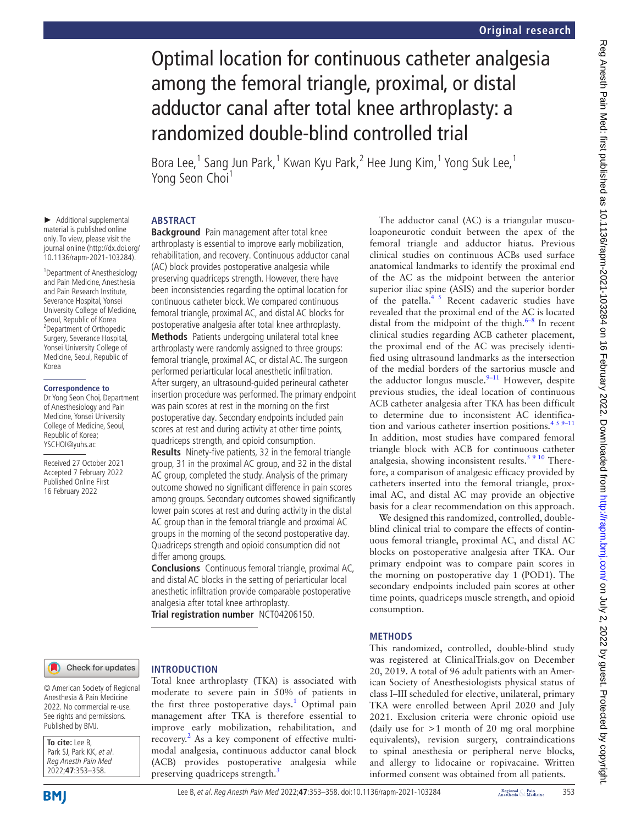# Optimal location for continuous catheter analgesia among the femoral triangle, proximal, or distal adductor canal after total knee arthroplasty: a randomized double-blind controlled trial

Bora Lee,<sup>1</sup> Sang Jun Park,<sup>1</sup> Kwan Kyu Park,<sup>2</sup> Hee Jung Kim,<sup>1</sup> Yong Suk Lee,<sup>1</sup> Yong Seon Choi<sup>1</sup>

#### **ABSTRACT**

► Additional supplemental material is published online only. To view, please visit the journal online ([http://dx.doi.org/](http://dx.doi.org/10.1136/rapm-2021-103284) [10.1136/rapm-2021-103284\)](http://dx.doi.org/10.1136/rapm-2021-103284).

1 Department of Anesthesiology and Pain Medicine, Anesthesia and Pain Research Institute, Severance Hospital, Yonsei University College of Medicine, Seoul, Republic of Korea <sup>2</sup> Department of Orthopedic Surgery, Severance Hospital, Yonsei University College of Medicine, Seoul, Republic of Korea

#### **Correspondence to**

Dr Yong Seon Choi, Department of Anesthesiology and Pain Medicine, Yonsei University College of Medicine, Seoul, Republic of Korea; YSCHOI@yuhs.ac

Received 27 October 2021 Accepted 7 February 2022 Published Online First 16 February 2022

**Background** Pain management after total knee arthroplasty is essential to improve early mobilization, rehabilitation, and recovery. Continuous adductor canal (AC) block provides postoperative analgesia while preserving quadriceps strength. However, there have been inconsistencies regarding the optimal location for continuous catheter block. We compared continuous femoral triangle, proximal AC, and distal AC blocks for postoperative analgesia after total knee arthroplasty. **Methods** Patients undergoing unilateral total knee arthroplasty were randomly assigned to three groups: femoral triangle, proximal AC, or distal AC. The surgeon performed periarticular local anesthetic infiltration. After surgery, an ultrasound-guided perineural catheter insertion procedure was performed. The primary endpoint was pain scores at rest in the morning on the first postoperative day. Secondary endpoints included pain scores at rest and during activity at other time points, quadriceps strength, and opioid consumption.

**Results** Ninety-five patients, 32 in the femoral triangle group, 31 in the proximal AC group, and 32 in the distal AC group, completed the study. Analysis of the primary outcome showed no significant difference in pain scores among groups. Secondary outcomes showed significantly lower pain scores at rest and during activity in the distal AC group than in the femoral triangle and proximal AC groups in the morning of the second postoperative day. Quadriceps strength and opioid consumption did not differ among groups.

**Conclusions** Continuous femoral triangle, proximal AC, and distal AC blocks in the setting of periarticular local anesthetic infiltration provide comparable postoperative analgesia after total knee arthroplasty.

Total knee arthroplasty (TKA) is associated with moderate to severe pain in 50% of patients in the first three postoperative days.<sup>[1](#page-5-0)</sup> Optimal pain management after TKA is therefore essential to improve early mobilization, rehabilitation, and recovery.<sup>2</sup> As a key component of effective multimodal analgesia, continuous adductor canal block (ACB) provides postoperative analgesia while

**Trial registration number** <NCT04206150>.

preserving quadriceps strength.<sup>[3](#page-5-2)</sup>

**INTRODUCTION**

#### Check for updates

#### © American Society of Regional Anesthesia & Pain Medicine 2022. No commercial re-use. See rights and permissions. Published by BMJ.

**To cite:** Lee B, Park SJ, Park KK, et al. Reg Anesth Pain Med 2022;**47**:353–358.

The adductor canal (AC) is a triangular musculoaponeurotic conduit between the apex of the femoral triangle and adductor hiatus. Previous clinical studies on continuous ACBs used surface anatomical landmarks to identify the proximal end of the AC as the midpoint between the anterior superior iliac spine (ASIS) and the superior border of the patella.<sup>45</sup> Recent cadaveric studies have revealed that the proximal end of the AC is located distal from the midpoint of the thigh. $6-8$  In recent clinical studies regarding ACB catheter placement, the proximal end of the AC was precisely identified using ultrasound landmarks as the intersection of the medial borders of the sartorius muscle and the adductor longus muscle. $9-11$  However, despite previous studies, the ideal location of continuous ACB catheter analgesia after TKA has been difficult to determine due to inconsistent AC identification and various catheter insertion positions. $459-11$ In addition, most studies have compared femoral triangle block with ACB for continuous catheter analgesia, showing inconsistent results. $5910$  Therefore, a comparison of analgesic efficacy provided by catheters inserted into the femoral triangle, proximal AC, and distal AC may provide an objective basis for a clear recommendation on this approach. We designed this randomized, controlled, double-

blind clinical trial to compare the effects of continuous femoral triangle, proximal AC, and distal AC blocks on postoperative analgesia after TKA. Our primary endpoint was to compare pain scores in the morning on postoperative day 1 (POD1). The secondary endpoints included pain scores at other time points, quadriceps muscle strength, and opioid consumption.

### **METHODS**

This randomized, controlled, double-blind study was registered at ClinicalTrials.gov on December 20, 2019. A total of 96 adult patients with an American Society of Anesthesiologists physical status of class I–III scheduled for elective, unilateral, primary TKA were enrolled between April 2020 and July 2021. Exclusion criteria were chronic opioid use (daily use for  $>1$  month of 20 mg oral morphine equivalents), revision surgery, contraindications to spinal anesthesia or peripheral nerve blocks, and allergy to lidocaine or ropivacaine. Written informed consent was obtained from all patients.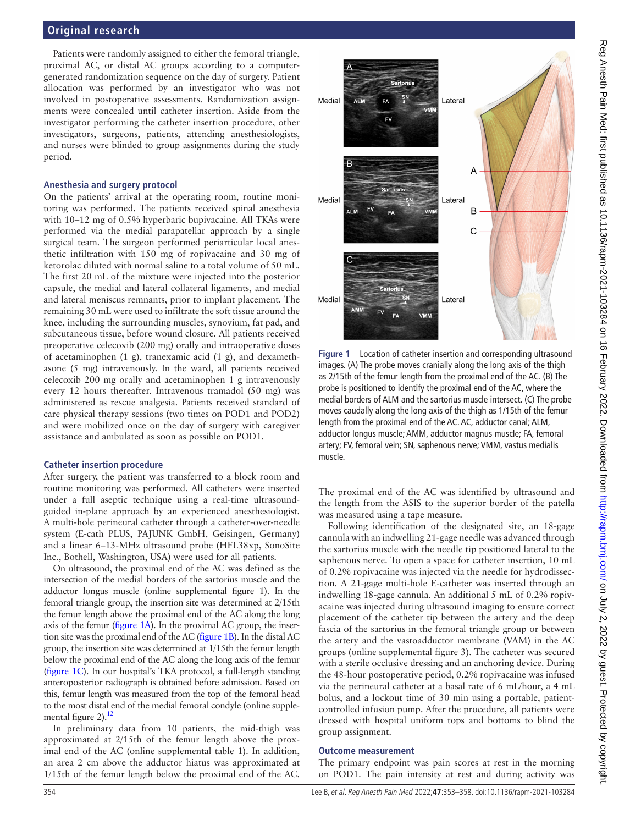## **Original research**

Patients were randomly assigned to either the femoral triangle, proximal AC, or distal AC groups according to a computergenerated randomization sequence on the day of surgery. Patient allocation was performed by an investigator who was not involved in postoperative assessments. Randomization assignments were concealed until catheter insertion. Aside from the investigator performing the catheter insertion procedure, other investigators, surgeons, patients, attending anesthesiologists, and nurses were blinded to group assignments during the study period.

#### **Anesthesia and surgery protocol**

On the patients' arrival at the operating room, routine monitoring was performed. The patients received spinal anesthesia with 10–12 mg of 0.5% hyperbaric bupivacaine. All TKAs were performed via the medial parapatellar approach by a single surgical team. The surgeon performed periarticular local anesthetic infiltration with 150 mg of ropivacaine and 30 mg of ketorolac diluted with normal saline to a total volume of 50 mL. The first 20 mL of the mixture were injected into the posterior capsule, the medial and lateral collateral ligaments, and medial and lateral meniscus remnants, prior to implant placement. The remaining 30 mL were used to infiltrate the soft tissue around the knee, including the surrounding muscles, synovium, fat pad, and subcutaneous tissue, before wound closure. All patients received preoperative celecoxib (200 mg) orally and intraoperative doses of acetaminophen (1 g), tranexamic acid (1 g), and dexamethasone (5 mg) intravenously. In the ward, all patients received celecoxib 200 mg orally and acetaminophen 1 g intravenously every 12 hours thereafter. Intravenous tramadol (50 mg) was administered as rescue analgesia. Patients received standard of care physical therapy sessions (two times on POD1 and POD2) and were mobilized once on the day of surgery with caregiver assistance and ambulated as soon as possible on POD1.

#### **Catheter insertion procedure**

After surgery, the patient was transferred to a block room and routine monitoring was performed. All catheters were inserted under a full aseptic technique using a real-time ultrasoundguided in-plane approach by an experienced anesthesiologist. A multi-hole perineural catheter through a catheter-over-needle system (E-cath PLUS, PAJUNK GmbH, Geisingen, Germany) and a linear 6–13-MHz ultrasound probe (HFL38xp, SonoSite Inc., Bothell, Washington, USA) were used for all patients.

On ultrasound, the proximal end of the AC was defined as the intersection of the medial borders of the sartorius muscle and the adductor longus muscle ([online supplemental figure 1](https://dx.doi.org/10.1136/rapm-2021-103284)). In the femoral triangle group, the insertion site was determined at 2/15th the femur length above the proximal end of the AC along the long axis of the femur ([figure](#page-1-0) 1A). In the proximal AC group, the insertion site was the proximal end of the AC [\(figure](#page-1-0) 1B). In the distal AC group, the insertion site was determined at 1/15th the femur length below the proximal end of the AC along the long axis of the femur ([figure](#page-1-0) 1C). In our hospital's TKA protocol, a full-length standing anteroposterior radiograph is obtained before admission. Based on this, femur length was measured from the top of the femoral head to the most distal end of the medial femoral condyle [\(online supple](https://dx.doi.org/10.1136/rapm-2021-103284)[mental figure 2\)](https://dx.doi.org/10.1136/rapm-2021-103284). $^{12}$ 

In preliminary data from 10 patients, the mid-thigh was approximated at 2/15th of the femur length above the proximal end of the AC ([online supplemental table 1\)](https://dx.doi.org/10.1136/rapm-2021-103284). In addition, an area 2 cm above the adductor hiatus was approximated at 1/15th of the femur length below the proximal end of the AC.



<span id="page-1-0"></span>**Figure 1** Location of catheter insertion and corresponding ultrasound images. (A) The probe moves cranially along the long axis of the thigh as 2/15th of the femur length from the proximal end of the AC. (B) The probe is positioned to identify the proximal end of the AC, where the medial borders of ALM and the sartorius muscle intersect. (C) The probe moves caudally along the long axis of the thigh as 1/15th of the femur length from the proximal end of the AC. AC, adductor canal; ALM, adductor longus muscle; AMM, adductor magnus muscle; FA, femoral artery; FV, femoral vein; SN, saphenous nerve; VMM, vastus medialis muscle.

The proximal end of the AC was identified by ultrasound and the length from the ASIS to the superior border of the patella was measured using a tape measure.

Following identification of the designated site, an 18-gage cannula with an indwelling 21-gage needle was advanced through the sartorius muscle with the needle tip positioned lateral to the saphenous nerve. To open a space for catheter insertion, 10 mL of 0.2% ropivacaine was injected via the needle for hydrodissection. A 21-gage multi-hole E-catheter was inserted through an indwelling 18-gage cannula. An additional 5 mL of 0.2% ropivacaine was injected during ultrasound imaging to ensure correct placement of the catheter tip between the artery and the deep fascia of the sartorius in the femoral triangle group or between the artery and the vastoadductor membrane (VAM) in the AC groups [\(online supplemental figure 3\)](https://dx.doi.org/10.1136/rapm-2021-103284). The catheter was secured with a sterile occlusive dressing and an anchoring device. During the 48-hour postoperative period, 0.2% ropivacaine was infused via the perineural catheter at a basal rate of 6 mL/hour, a 4 mL bolus, and a lockout time of 30 min using a portable, patientcontrolled infusion pump. After the procedure, all patients were dressed with hospital uniform tops and bottoms to blind the group assignment.

#### **Outcome measurement**

The primary endpoint was pain scores at rest in the morning on POD1. The pain intensity at rest and during activity was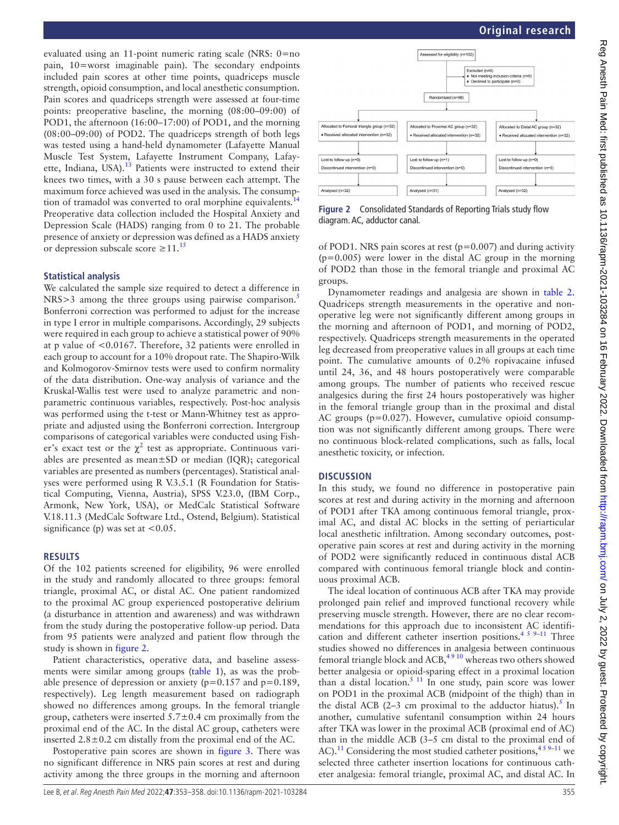evaluated using an 11-point numeric rating scale (NRS: 0=no pain, 10=worst imaginable pain). The secondary endpoints included pain scores at other time points, quadriceps muscle strength, opioid consumption, and local anesthetic consumption. Pain scores and quadriceps strength were assessed at four-time points: preoperative baseline, the morning (08:00–09:00) of POD1, the afternoon (16:00–17:00) of POD1, and the morning (08:00–09:00) of POD2. The quadriceps strength of both legs was tested using a hand-held dynamometer (Lafayette Manual Muscle Test System, Lafayette Instrument Company, Lafayette, Indiana, USA).<sup>13</sup> Patients were instructed to extend their knees two times, with a 30 s pause between each attempt. The maximum force achieved was used in the analysis. The consump-tion of tramadol was converted to oral morphine equivalents.<sup>[14](#page-5-9)</sup> Preoperative data collection included the Hospital Anxiety and Depression Scale (HADS) ranging from 0 to 21. The probable presence of anxiety or depression was defined as a HADS anxiety or depression subscale score  $\geq 11$ .<sup>[15](#page-5-10)</sup>

#### **Statistical analysis**

We calculated the sample size required to detect a difference in NRS>3 among the three groups using pairwise comparison.<sup>[5](#page-5-6)</sup> Bonferroni correction was performed to adjust for the increase in type I error in multiple comparisons. Accordingly, 29 subjects were required in each group to achieve a statistical power of 90% at p value of <0.0167. Therefore, 32 patients were enrolled in each group to account for a 10% dropout rate. The Shapiro-Wilk and Kolmogorov-Smirnov tests were used to confirm normality of the data distribution. One-way analysis of variance and the Kruskal-Wallis test were used to analyze parametric and nonparametric continuous variables, respectively. Post-hoc analysis was performed using the t-test or Mann-Whitney test as appropriate and adjusted using the Bonferroni correction. Intergroup comparisons of categorical variables were conducted using Fisher's exact test or the  $\chi^2$  test as appropriate. Continuous variables are presented as mean±SD or median (IQR); categorical variables are presented as numbers (percentages). Statistical analyses were performed using R V.3.5.1 (R Foundation for Statistical Computing, Vienna, Austria), SPSS V.23.0, (IBM Corp., Armonk, New York, USA), or MedCalc Statistical Software V.18.11.3 (MedCalc Software Ltd., Ostend, Belgium). Statistical significance (p) was set at  $<0.05$ .

#### **RESULTS**

Of the 102 patients screened for eligibility, 96 were enrolled in the study and randomly allocated to three groups: femoral triangle, proximal AC, or distal AC. One patient randomized to the proximal AC group experienced postoperative delirium (a disturbance in attention and awareness) and was withdrawn from the study during the postoperative follow-up period. Data from 95 patients were analyzed and patient flow through the study is shown in [figure](#page-2-0) 2.

Patient characteristics, operative data, and baseline assessments were similar among groups ([table](#page-3-0) 1), as was the probable presence of depression or anxiety ( $p=0.157$  and  $p=0.189$ , respectively). Leg length measurement based on radiograph showed no differences among groups. In the femoral triangle group, catheters were inserted  $5.7\pm0.4$  cm proximally from the proximal end of the AC. In the distal AC group, catheters were inserted  $2.8 \pm 0.2$  cm distally from the proximal end of the AC.

Postoperative pain scores are shown in [figure](#page-3-1) 3. There was no significant difference in NRS pain scores at rest and during activity among the three groups in the morning and afternoon



<span id="page-2-0"></span>**Figure 2** Consolidated Standards of Reporting Trials study flow diagram. AC, adductor canal.

of POD1. NRS pain scores at rest ( $p=0.007$ ) and during activity  $(p=0.005)$  were lower in the distal AC group in the morning of POD2 than those in the femoral triangle and proximal AC groups.

Dynamometer readings and analgesia are shown in [table](#page-4-0) 2. Quadriceps strength measurements in the operative and nonoperative leg were not significantly different among groups in the morning and afternoon of POD1, and morning of POD2, respectively. Quadriceps strength measurements in the operated leg decreased from preoperative values in all groups at each time point. The cumulative amounts of 0.2% ropivacaine infused until 24, 36, and 48 hours postoperatively were comparable among groups. The number of patients who received rescue analgesics during the first 24 hours postoperatively was higher in the femoral triangle group than in the proximal and distal AC groups (p=0.027). However, cumulative opioid consumption was not significantly different among groups. There were no continuous block-related complications, such as falls, local anesthetic toxicity, or infection.

#### **DISCUSSION**

In this study, we found no difference in postoperative pain scores at rest and during activity in the morning and afternoon of POD1 after TKA among continuous femoral triangle, proximal AC, and distal AC blocks in the setting of periarticular local anesthetic infiltration. Among secondary outcomes, postoperative pain scores at rest and during activity in the morning of POD2 were significantly reduced in continuous distal ACB compared with continuous femoral triangle block and continuous proximal ACB.

The ideal location of continuous ACB after TKA may provide prolonged pain relief and improved functional recovery while preserving muscle strength. However, there are no clear recommendations for this approach due to inconsistent AC identification and different catheter insertion positions.<sup>4 5 9-11</sup> Three studies showed no differences in analgesia between continuous femoral triangle block and  $ACB$ ,<sup>4910</sup> whereas two others showed better analgesia or opioid-sparing effect in a proximal location than a distal location.<sup>[5 11](#page-5-6)</sup> In one study, pain score was lower on POD1 in the proximal ACB (midpoint of the thigh) than in the distal ACB (2–3 cm proximal to the adductor hiatus).<sup>[5](#page-5-6)</sup> In another, cumulative sufentanil consumption within 24 hours after TKA was lower in the proximal ACB (proximal end of AC) than in the middle ACB (3–5 cm distal to the proximal end of AC).<sup>[11](#page-5-11)</sup> Considering the most studied catheter positions,<sup>459–11</sup> we selected three catheter insertion locations for continuous catheter analgesia: femoral triangle, proximal AC, and distal AC. In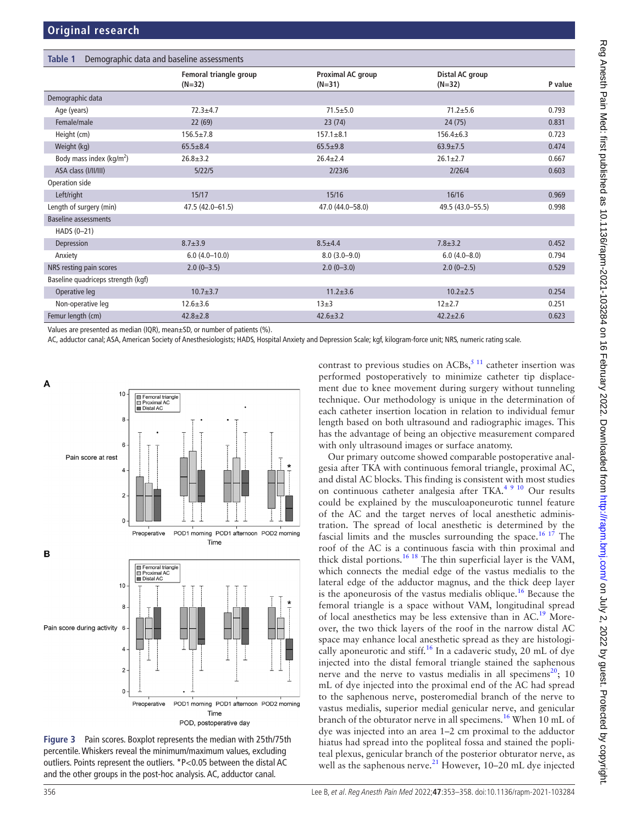<span id="page-3-0"></span>

| Table 1<br>Demographic data and baseline assessments |                                    |                               |                             |         |
|------------------------------------------------------|------------------------------------|-------------------------------|-----------------------------|---------|
|                                                      | Femoral triangle group<br>$(N=32)$ | Proximal AC group<br>$(N=31)$ | Distal AC group<br>$(N=32)$ | P value |
| Demographic data                                     |                                    |                               |                             |         |
| Age (years)                                          | $72.3 + 4.7$                       | $71.5 \pm 5.0$                | $71.2 + 5.6$                | 0.793   |
| Female/male                                          | 22(69)                             | 23(74)                        | 24(75)                      | 0.831   |
| Height (cm)                                          | $156.5 \pm 7.8$                    | $157.1 \pm 8.1$               | $156.4 \pm 6.3$             | 0.723   |
| Weight (kg)                                          | $65.5 \pm 8.4$                     | $65.5 \pm 9.8$                | $63.9 \pm 7.5$              | 0.474   |
| Body mass index ( $kg/m2$ )                          | $26.8 \pm 3.2$                     | $26.4 \pm 2.4$                | $26.1 \pm 2.7$              | 0.667   |
| ASA class (I/II/III)                                 | 5/22/5                             | 2/23/6                        | 2/26/4                      | 0.603   |
| Operation side                                       |                                    |                               |                             |         |
| Left/right                                           | 15/17                              | 15/16                         | 16/16                       | 0.969   |
| Length of surgery (min)                              | 47.5 (42.0–61.5)                   | 47.0 (44.0-58.0)              | 49.5 (43.0–55.5)            | 0.998   |
| <b>Baseline assessments</b>                          |                                    |                               |                             |         |
| HADS (0-21)                                          |                                    |                               |                             |         |
| Depression                                           | $8.7 + 3.9$                        | $8.5 \pm 4.4$                 | $7.8 + 3.2$                 | 0.452   |
| Anxiety                                              | $6.0(4.0-10.0)$                    | $8.0(3.0-9.0)$                | $6.0(4.0 - 8.0)$            | 0.794   |
| NRS resting pain scores                              | $2.0(0-3.5)$                       | $2.0(0-3.0)$                  | $2.0(0-2.5)$                | 0.529   |
| Baseline quadriceps strength (kgf)                   |                                    |                               |                             |         |
| Operative leg                                        | $10.7 + 3.7$                       | $11.2 + 3.6$                  | $10.2 + 2.5$                | 0.254   |
| Non-operative leg                                    | $12.6 \pm 3.6$                     | $13+3$                        | $12+2.7$                    | 0.251   |
| Femur length (cm)                                    | $42.8 \pm 2.8$                     | $42.6 + 3.2$                  | $42.2 \pm 2.6$              | 0.623   |

Values are presented as median (IQR), mean±SD, or number of patients (%).

AC, adductor canal; ASA, American Society of Anesthesiologists; HADS, Hospital Anxiety and Depression Scale; kgf, kilogram-force unit; NRS, numeric rating scale.



<span id="page-3-1"></span>

contrast to previous studies on  $ACBs$ ,<sup>[5 11](#page-5-6)</sup> catheter insertion was performed postoperatively to minimize catheter tip displacement due to knee movement during surgery without tunneling technique. Our methodology is unique in the determination of each catheter insertion location in relation to individual femur length based on both ultrasound and radiographic images. This has the advantage of being an objective measurement compared with only ultrasound images or surface anatomy.

Our primary outcome showed comparable postoperative analgesia after TKA with continuous femoral triangle, proximal AC, and distal AC blocks. This finding is consistent with most studies on continuous catheter analgesia after TKA.<sup>[4 9 10](#page-5-3)</sup> Our results could be explained by the musculoaponeurotic tunnel feature of the AC and the target nerves of local anesthetic administration. The spread of local anesthetic is determined by the fascial limits and the muscles surrounding the space.<sup>16 17</sup> The roof of the AC is a continuous fascia with thin proximal and thick distal portions.<sup>[16 18](#page-5-12)</sup> The thin superficial layer is the VAM, which connects the medial edge of the vastus medialis to the lateral edge of the adductor magnus, and the thick deep layer is the aponeurosis of the vastus medialis oblique.<sup>16</sup> Because the femoral triangle is a space without VAM, longitudinal spread of local anesthetics may be less extensive than in AC.[19](#page-5-13) Moreover, the two thick layers of the roof in the narrow distal AC space may enhance local anesthetic spread as they are histologically aponeurotic and stiff.<sup>16</sup> In a cadaveric study, 20 mL of dye injected into the distal femoral triangle stained the saphenous nerve and the nerve to vastus medialis in all specimens<sup>[20](#page-5-14)</sup>; 10 mL of dye injected into the proximal end of the AC had spread to the saphenous nerve, posteromedial branch of the nerve to vastus medialis, superior medial genicular nerve, and genicular branch of the obturator nerve in all specimens[.16](#page-5-12) When 10 mL of dye was injected into an area 1–2 cm proximal to the adductor hiatus had spread into the popliteal fossa and stained the popliteal plexus, genicular branch of the posterior obturator nerve, as well as the saphenous nerve. $21$  However, 10–20 mL dye injected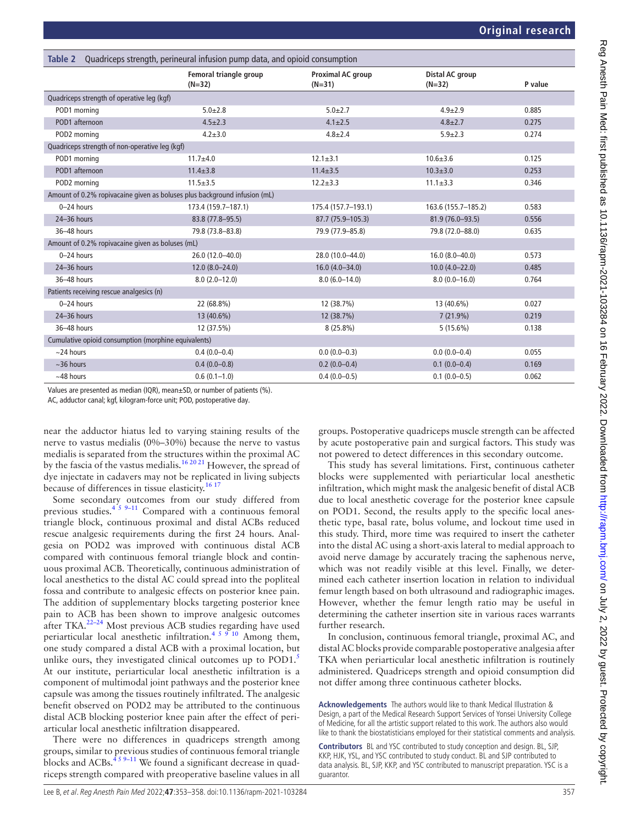<span id="page-4-0"></span>

| Table 2                                                                   | Quadriceps strength, perineural infusion pump data, and opioid consumption |                                      |                             |         |
|---------------------------------------------------------------------------|----------------------------------------------------------------------------|--------------------------------------|-----------------------------|---------|
|                                                                           | Femoral triangle group<br>$(N=32)$                                         | <b>Proximal AC group</b><br>$(N=31)$ | Distal AC group<br>$(N=32)$ | P value |
| Quadriceps strength of operative leg (kgf)                                |                                                                            |                                      |                             |         |
| POD1 morning                                                              | $5.0 + 2.8$                                                                | $5.0 + 2.7$                          | $4.9 + 2.9$                 | 0.885   |
| POD1 afternoon                                                            | $4.5 \pm 2.3$                                                              | $4.1 \pm 2.5$                        | $4.8 \pm 2.7$               | 0.275   |
| POD2 morning                                                              | $4.2 \pm 3.0$                                                              | $4.8 \pm 2.4$                        | $5.9 + 2.3$                 | 0.274   |
| Quadriceps strength of non-operative leg (kgf)                            |                                                                            |                                      |                             |         |
| POD1 morning                                                              | $11.7 + 4.0$                                                               | $12.1 \pm 3.1$                       | $10.6 + 3.6$                | 0.125   |
| POD1 afternoon                                                            | $11.4 \pm 3.8$                                                             | $11.4 \pm 3.5$                       | $10.3 + 3.0$                | 0.253   |
| POD2 morning                                                              | $11.5 \pm 3.5$                                                             | $12.2 \pm 3.3$                       | $11.1 \pm 3.3$              | 0.346   |
| Amount of 0.2% ropivacaine given as boluses plus background infusion (mL) |                                                                            |                                      |                             |         |
| 0-24 hours                                                                | 173.4 (159.7-187.1)                                                        | 175.4 (157.7-193.1)                  | 163.6 (155.7-185.2)         | 0.583   |
| 24-36 hours                                                               | 83.8 (77.8-95.5)                                                           | 87.7 (75.9-105.3)                    | 81.9 (76.0-93.5)            | 0.556   |
| 36-48 hours                                                               | 79.8 (73.8-83.8)                                                           | 79.9 (77.9-85.8)                     | 79.8 (72.0-88.0)            | 0.635   |
| Amount of 0.2% ropivacaine given as boluses (mL)                          |                                                                            |                                      |                             |         |
| $0 - 24$ hours                                                            | 26.0 (12.0-40.0)                                                           | 28.0 (10.0-44.0)                     | $16.0(8.0-40.0)$            | 0.573   |
| 24-36 hours                                                               | $12.0(8.0 - 24.0)$                                                         | $16.0(4.0 - 34.0)$                   | $10.0 (4.0 - 22.0)$         | 0.485   |
| 36-48 hours                                                               | $8.0(2.0-12.0)$                                                            | $8.0(6.0-14.0)$                      | $8.0(0.0-16.0)$             | 0.764   |
| Patients receiving rescue analgesics (n)                                  |                                                                            |                                      |                             |         |
| $0 - 24$ hours                                                            | 22 (68.8%)                                                                 | 12 (38.7%)                           | 13 (40.6%)                  | 0.027   |
| 24-36 hours                                                               | 13 (40.6%)                                                                 | 12 (38.7%)                           | $7(21.9\%)$                 | 0.219   |
| 36-48 hours                                                               | 12 (37.5%)                                                                 | $8(25.8\%)$                          | 5(15.6%)                    | 0.138   |
| Cumulative opioid consumption (morphine equivalents)                      |                                                                            |                                      |                             |         |
| $~24$ hours                                                               | $0.4(0.0-0.4)$                                                             | $0.0(0.0-0.3)$                       | $0.0(0.0-0.4)$              | 0.055   |
| $~56$ hours                                                               | $0.4(0.0-0.8)$                                                             | $0.2(0.0-0.4)$                       | $0.1(0.0-0.4)$              | 0.169   |
| $~148$ hours                                                              | $0.6(0.1-1.0)$                                                             | $0.4(0.0-0.5)$                       | $0.1(0.0-0.5)$              | 0.062   |

Values are presented as median (IQR), mean±SD, or number of patients (%).

AC, adductor canal; kgf, kilogram-force unit; POD, postoperative day.

near the adductor hiatus led to varying staining results of the nerve to vastus medialis (0%–30%) because the nerve to vastus medialis is separated from the structures within the proximal AC by the fascia of the vastus medialis.<sup>[16 20 21](#page-5-12)</sup> However, the spread of dye injectate in cadavers may not be replicated in living subjects because of differences in tissue elasticity.[16 17](#page-5-12)

Some secondary outcomes from our study differed from previous studies.<sup>4 5 9-11</sup> Compared with a continuous femoral triangle block, continuous proximal and distal ACBs reduced rescue analgesic requirements during the first 24 hours. Analgesia on POD2 was improved with continuous distal ACB compared with continuous femoral triangle block and continuous proximal ACB. Theoretically, continuous administration of local anesthetics to the distal AC could spread into the popliteal fossa and contribute to analgesic effects on posterior knee pain. The addition of supplementary blocks targeting posterior knee pain to ACB has been shown to improve analgesic outcomes after TKA.<sup>22-24</sup> Most previous ACB studies regarding have used periarticular local anesthetic infiltration.<sup>[4 5 9 10](#page-5-3)</sup> Among them, one study compared a distal ACB with a proximal location, but unlike ours, they investigated clinical outcomes up to POD1.<sup>[5](#page-5-6)</sup> At our institute, periarticular local anesthetic infiltration is a component of multimodal joint pathways and the posterior knee capsule was among the tissues routinely infiltrated. The analgesic benefit observed on POD2 may be attributed to the continuous distal ACB blocking posterior knee pain after the effect of periarticular local anesthetic infiltration disappeared.

There were no differences in quadriceps strength among groups, similar to previous studies of continuous femoral triangle blocks and ACBs. $459-11$  We found a significant decrease in quadriceps strength compared with preoperative baseline values in all

groups. Postoperative quadriceps muscle strength can be affected by acute postoperative pain and surgical factors. This study was not powered to detect differences in this secondary outcome.

This study has several limitations. First, continuous catheter blocks were supplemented with periarticular local anesthetic infiltration, which might mask the analgesic benefit of distal ACB due to local anesthetic coverage for the posterior knee capsule on POD1. Second, the results apply to the specific local anesthetic type, basal rate, bolus volume, and lockout time used in this study. Third, more time was required to insert the catheter into the distal AC using a short-axis lateral to medial approach to avoid nerve damage by accurately tracing the saphenous nerve, which was not readily visible at this level. Finally, we determined each catheter insertion location in relation to individual femur length based on both ultrasound and radiographic images. However, whether the femur length ratio may be useful in determining the catheter insertion site in various races warrants further research.

In conclusion, continuous femoral triangle, proximal AC, and distal AC blocks provide comparable postoperative analgesia after TKA when periarticular local anesthetic infiltration is routinely administered. Quadriceps strength and opioid consumption did not differ among three continuous catheter blocks.

**Acknowledgements** The authors would like to thank Medical Illustration & Design, a part of the Medical Research Support Services of Yonsei University College of Medicine, for all the artistic support related to this work. The authors also would like to thank the biostatisticians employed for their statistical comments and analysis.

**Contributors** BL and YSC contributed to study conception and design. BL, SJP, KKP, HJK, YSL, and YSC contributed to study conduct. BL and SJP contributed to data analysis. BL, SJP, KKP, and YSC contributed to manuscript preparation. YSC is a guarantor.